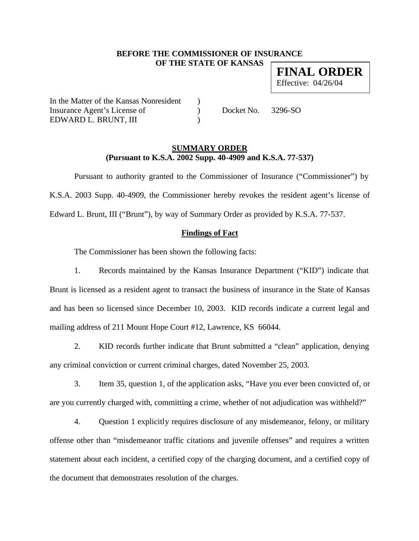## **BEFORE THE COMMISSIONER OF INSURANCE OF THE STATE OF KANSAS**

**FINAL ORDER** Effective: 04/26/04

In the Matter of the Kansas Nonresident ) Insurance Agent's License of  $Docket No. 3296-SO$ EDWARD L. BRUNT, III (1998)

### **SUMMARY ORDER (Pursuant to K.S.A. 2002 Supp. 40-4909 and K.S.A. 77-537)**

Pursuant to authority granted to the Commissioner of Insurance ("Commissioner") by K.S.A. 2003 Supp. 40-4909, the Commissioner hereby revokes the resident agent's license of Edward L. Brunt, III ("Brunt"), by way of Summary Order as provided by K.S.A. 77-537.

## **Findings of Fact**

The Commissioner has been shown the following facts:

1. Records maintained by the Kansas Insurance Department ("KID") indicate that Brunt is licensed as a resident agent to transact the business of insurance in the State of Kansas and has been so licensed since December 10, 2003. KID records indicate a current legal and mailing address of 211 Mount Hope Court #12, Lawrence, KS 66044.

2. KID records further indicate that Brunt submitted a "clean" application, denying any criminal conviction or current criminal charges, dated November 25, 2003.

3. Item 35, question 1, of the application asks, "Have you ever been convicted of, or are you currently charged with, committing a crime, whether of not adjudication was withheld?"

4. Question 1 explicitly requires disclosure of any misdemeanor, felony, or military offense other than "misdemeanor traffic citations and juvenile offenses" and requires a written statement about each incident, a certified copy of the charging document, and a certified copy of the document that demonstrates resolution of the charges.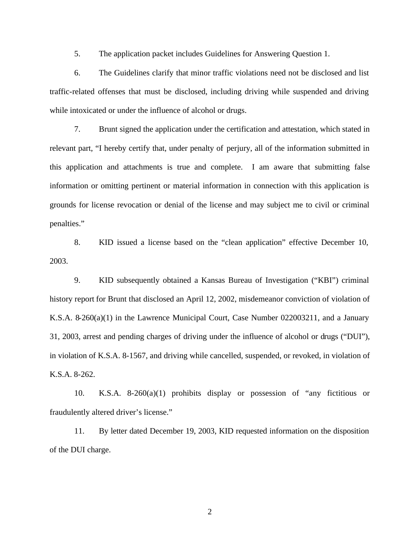5. The application packet includes Guidelines for Answering Question 1.

6. The Guidelines clarify that minor traffic violations need not be disclosed and list traffic-related offenses that must be disclosed, including driving while suspended and driving while intoxicated or under the influence of alcohol or drugs.

7. Brunt signed the application under the certification and attestation, which stated in relevant part, "I hereby certify that, under penalty of perjury, all of the information submitted in this application and attachments is true and complete. I am aware that submitting false information or omitting pertinent or material information in connection with this application is grounds for license revocation or denial of the license and may subject me to civil or criminal penalties."

8. KID issued a license based on the "clean application" effective December 10, 2003.

9. KID subsequently obtained a Kansas Bureau of Investigation ("KBI") criminal history report for Brunt that disclosed an April 12, 2002, misdemeanor conviction of violation of K.S.A. 8-260(a)(1) in the Lawrence Municipal Court, Case Number 022003211, and a January 31, 2003, arrest and pending charges of driving under the influence of alcohol or drugs ("DUI"), in violation of K.S.A. 8-1567, and driving while cancelled, suspended, or revoked, in violation of K.S.A. 8-262.

10. K.S.A. 8-260(a)(1) prohibits display or possession of "any fictitious or fraudulently altered driver's license."

11. By letter dated December 19, 2003, KID requested information on the disposition of the DUI charge.

2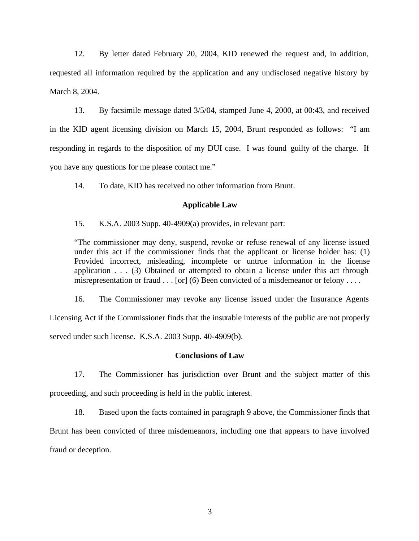12. By letter dated February 20, 2004, KID renewed the request and, in addition, requested all information required by the application and any undisclosed negative history by March 8, 2004.

13. By facsimile message dated 3/5/04, stamped June 4, 2000, at 00:43, and received in the KID agent licensing division on March 15, 2004, Brunt responded as follows: "I am responding in regards to the disposition of my DUI case. I was found guilty of the charge. If you have any questions for me please contact me."

14. To date, KID has received no other information from Brunt.

#### **Applicable Law**

15. K.S.A. 2003 Supp. 40-4909(a) provides, in relevant part:

"The commissioner may deny, suspend, revoke or refuse renewal of any license issued under this act if the commissioner finds that the applicant or license holder has: (1) Provided incorrect, misleading, incomplete or untrue information in the license application . . . (3) Obtained or attempted to obtain a license under this act through misrepresentation or fraud  $\dots$  [or] (6) Been convicted of a misdemeanor or felony  $\dots$ .

16. The Commissioner may revoke any license issued under the Insurance Agents

Licensing Act if the Commissioner finds that the insurable interests of the public are not properly served under such license. K.S.A. 2003 Supp. 40-4909(b).

#### **Conclusions of Law**

17. The Commissioner has jurisdiction over Brunt and the subject matter of this proceeding, and such proceeding is held in the public interest.

18. Based upon the facts contained in paragraph 9 above, the Commissioner finds that Brunt has been convicted of three misdemeanors, including one that appears to have involved fraud or deception.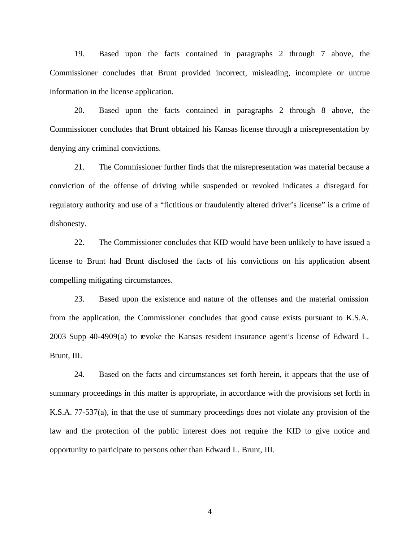19. Based upon the facts contained in paragraphs 2 through 7 above, the Commissioner concludes that Brunt provided incorrect, misleading, incomplete or untrue information in the license application.

20. Based upon the facts contained in paragraphs 2 through 8 above, the Commissioner concludes that Brunt obtained his Kansas license through a misrepresentation by denying any criminal convictions.

21. The Commissioner further finds that the misrepresentation was material because a conviction of the offense of driving while suspended or revoked indicates a disregard for regulatory authority and use of a "fictitious or fraudulently altered driver's license" is a crime of dishonesty.

22. The Commissioner concludes that KID would have been unlikely to have issued a license to Brunt had Brunt disclosed the facts of his convictions on his application absent compelling mitigating circumstances.

23. Based upon the existence and nature of the offenses and the material omission from the application, the Commissioner concludes that good cause exists pursuant to K.S.A. 2003 Supp 40-4909(a) to revoke the Kansas resident insurance agent's license of Edward L. Brunt, III.

24. Based on the facts and circumstances set forth herein, it appears that the use of summary proceedings in this matter is appropriate, in accordance with the provisions set forth in K.S.A. 77-537(a), in that the use of summary proceedings does not violate any provision of the law and the protection of the public interest does not require the KID to give notice and opportunity to participate to persons other than Edward L. Brunt, III.

4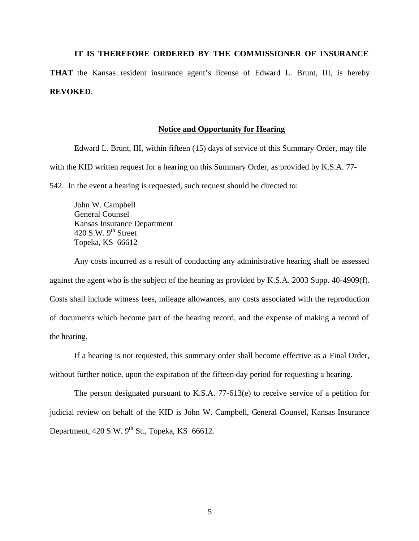# **IT IS THEREFORE ORDERED BY THE COMMISSIONER OF INSURANCE THAT** the Kansas resident insurance agent's license of Edward L. Brunt, III, is hereby **REVOKED**.

#### **Notice and Opportunity for Hearing**

Edward L. Brunt, III, within fifteen (15) days of service of this Summary Order, may file with the KID written request for a hearing on this Summary Order, as provided by K.S.A. 77-

542. In the event a hearing is requested, such request should be directed to:

John W. Campbell General Counsel Kansas Insurance Department 420 S.W.  $9<sup>th</sup>$  Street Topeka, KS 66612

Any costs incurred as a result of conducting any administrative hearing shall be assessed against the agent who is the subject of the hearing as provided by K.S.A. 2003 Supp. 40-4909(f). Costs shall include witness fees, mileage allowances, any costs associated with the reproduction of documents which become part of the hearing record, and the expense of making a record of the hearing.

If a hearing is not requested, this summary order shall become effective as a Final Order, without further notice, upon the expiration of the fifteen-day period for requesting a hearing.

The person designated pursuant to K.S.A. 77-613(e) to receive service of a petition for judicial review on behalf of the KID is John W. Campbell, General Counsel, Kansas Insurance Department,  $420$  S.W.  $9^{th}$  St., Topeka, KS 66612.